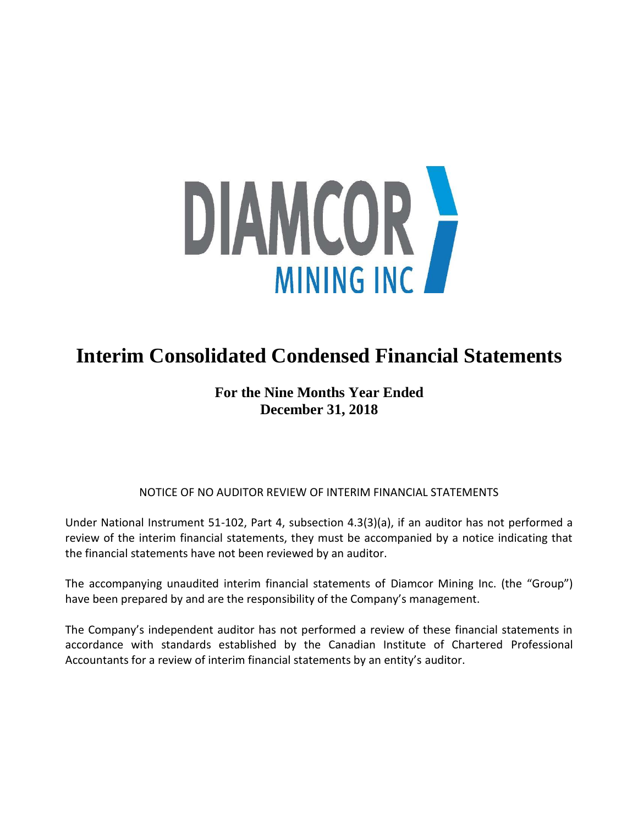

# **Interim Consolidated Condensed Financial Statements**

## **For the Nine Months Year Ended December 31, 2018**

## NOTICE OF NO AUDITOR REVIEW OF INTERIM FINANCIAL STATEMENTS

Under National Instrument 51-102, Part 4, subsection 4.3(3)(a), if an auditor has not performed a review of the interim financial statements, they must be accompanied by a notice indicating that the financial statements have not been reviewed by an auditor.

The accompanying unaudited interim financial statements of Diamcor Mining Inc. (the "Group") have been prepared by and are the responsibility of the Company's management.

The Company's independent auditor has not performed a review of these financial statements in accordance with standards established by the Canadian Institute of Chartered Professional Accountants for a review of interim financial statements by an entity's auditor.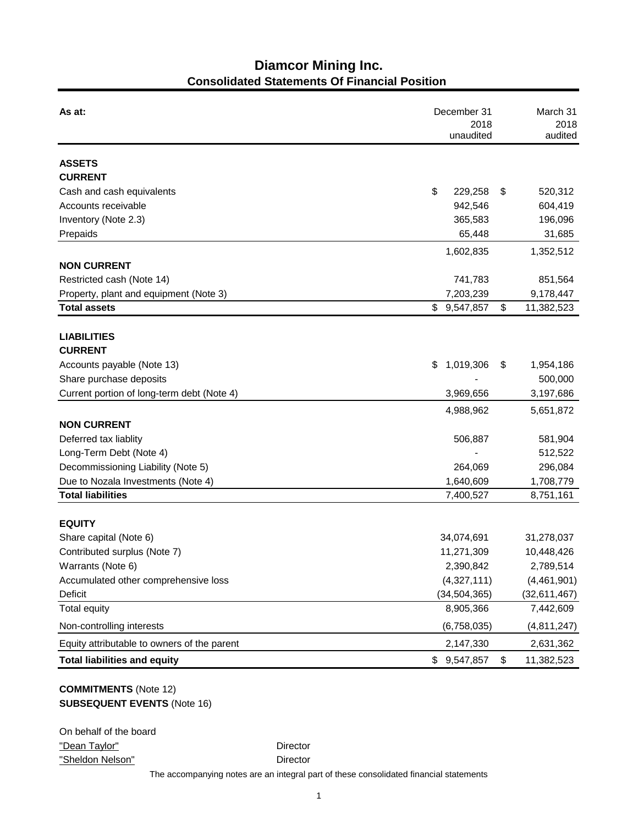## **Diamcor Mining Inc. Consolidated Statements Of Financial Position**

| As at:                                      | December 31<br>2018<br>unaudited |                |    | March 31<br>2018<br>audited |  |
|---------------------------------------------|----------------------------------|----------------|----|-----------------------------|--|
| <b>ASSETS</b>                               |                                  |                |    |                             |  |
| <b>CURRENT</b>                              |                                  |                |    |                             |  |
| Cash and cash equivalents                   | \$                               | 229,258        | \$ | 520,312                     |  |
| Accounts receivable                         |                                  | 942,546        |    | 604,419                     |  |
| Inventory (Note 2.3)                        |                                  | 365,583        |    | 196,096                     |  |
| Prepaids                                    |                                  | 65,448         |    | 31,685                      |  |
|                                             |                                  | 1,602,835      |    | 1,352,512                   |  |
| <b>NON CURRENT</b>                          |                                  |                |    |                             |  |
| Restricted cash (Note 14)                   |                                  | 741,783        |    | 851,564                     |  |
| Property, plant and equipment (Note 3)      |                                  | 7,203,239      |    | 9,178,447                   |  |
| <b>Total assets</b>                         |                                  | \$9,547,857    | \$ | 11,382,523                  |  |
|                                             |                                  |                |    |                             |  |
| <b>LIABILITIES</b>                          |                                  |                |    |                             |  |
| <b>CURRENT</b>                              |                                  |                |    |                             |  |
| Accounts payable (Note 13)                  | \$                               | 1,019,306      | \$ | 1,954,186                   |  |
| Share purchase deposits                     |                                  |                |    | 500,000                     |  |
| Current portion of long-term debt (Note 4)  |                                  | 3,969,656      |    | 3,197,686                   |  |
|                                             |                                  | 4,988,962      |    | 5,651,872                   |  |
| <b>NON CURRENT</b>                          |                                  |                |    |                             |  |
| Deferred tax liablity                       |                                  | 506,887        |    | 581,904                     |  |
| Long-Term Debt (Note 4)                     |                                  |                |    | 512,522                     |  |
| Decommissioning Liability (Note 5)          |                                  | 264,069        |    | 296,084                     |  |
| Due to Nozala Investments (Note 4)          |                                  | 1,640,609      |    | 1,708,779                   |  |
| <b>Total liabilities</b>                    |                                  | 7,400,527      |    | 8,751,161                   |  |
|                                             |                                  |                |    |                             |  |
| <b>EQUITY</b>                               |                                  |                |    |                             |  |
| Share capital (Note 6)                      |                                  | 34,074,691     |    | 31,278,037                  |  |
| Contributed surplus (Note 7)                |                                  | 11,271,309     |    | 10,448,426                  |  |
| Warrants (Note 6)                           |                                  | 2,390,842      |    | 2,789,514                   |  |
| Accumulated other comprehensive loss        |                                  | (4,327,111)    |    | (4,461,901)                 |  |
| Deficit                                     |                                  | (34, 504, 365) |    | (32,611,467)                |  |
| <b>Total equity</b>                         |                                  | 8,905,366      |    | 7,442,609                   |  |
| Non-controlling interests                   |                                  | (6,758,035)    |    | (4,811,247)                 |  |
| Equity attributable to owners of the parent |                                  | 2,147,330      |    | 2,631,362                   |  |
| <b>Total liabilities and equity</b>         | \$                               | 9,547,857      | \$ | 11,382,523                  |  |

## **COMMITMENTS** (Note 12) **SUBSEQUENT EVENTS** (Note 16)

| On behalf of the board |  |
|------------------------|--|
| "Dean Taylor"          |  |
| "Sheldon Nelson"       |  |

Director

Director

The accompanying notes are an integral part of these consolidated financial statements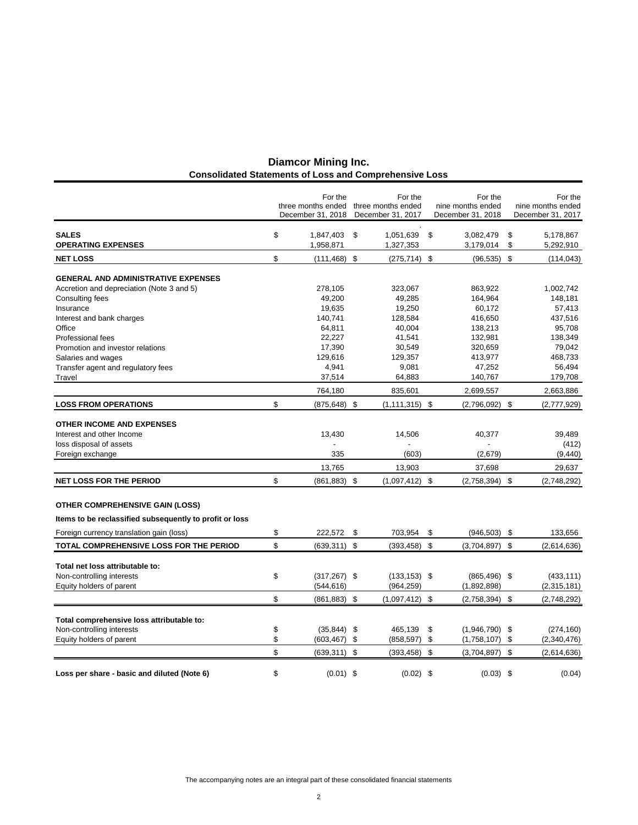| <b>Diamcor Mining Inc.</b>                                    |  |
|---------------------------------------------------------------|--|
| <b>Consolidated Statements of Loss and Comprehensive Loss</b> |  |

|                                                         | For the               | For the                               | For the                | For the           |
|---------------------------------------------------------|-----------------------|---------------------------------------|------------------------|-------------------|
|                                                         |                       | three months ended three months ended | nine months ended      | nine months ended |
|                                                         | December 31, 2018     | December 31, 2017                     | December 31, 2018      | December 31, 2017 |
| <b>SALES</b>                                            | \$<br>1,847,403       | \$<br>1,051,639 \$                    | 3,082,479              | \$<br>5,178,867   |
| <b>OPERATING EXPENSES</b>                               | 1,958,871             | 1,327,353                             | 3,179,014              | \$<br>5,292,910   |
| <b>NET LOSS</b>                                         | \$<br>$(111, 468)$ \$ | $(275, 714)$ \$                       | (96, 535)              | \$<br>(114, 043)  |
| <b>GENERAL AND ADMINISTRATIVE EXPENSES</b>              |                       |                                       |                        |                   |
| Accretion and depreciation (Note 3 and 5)               | 278,105               | 323,067                               | 863,922                | 1,002,742         |
| Consulting fees                                         | 49,200                | 49,285                                | 164,964                | 148,181           |
| Insurance                                               | 19,635                | 19,250                                | 60,172                 | 57,413            |
| Interest and bank charges                               | 140,741               | 128,584                               | 416,650                | 437,516           |
| Office                                                  | 64,811                | 40,004                                | 138,213                | 95,708            |
| <b>Professional fees</b>                                | 22,227                | 41,541                                | 132,981                | 138,349           |
| Promotion and investor relations                        | 17,390                | 30,549                                | 320,659                | 79,042            |
| Salaries and wages                                      | 129,616               | 129,357                               | 413,977                | 468,733           |
| Transfer agent and regulatory fees                      | 4,941                 | 9,081                                 | 47,252                 | 56,494            |
| Travel                                                  | 37,514                | 64,883                                | 140,767                | 179,708           |
|                                                         | 764,180               | 835,601                               | 2,699,557              | 2,663,886         |
| <b>LOSS FROM OPERATIONS</b>                             | \$<br>$(875, 648)$ \$ | $(1, 111, 315)$ \$                    | $(2,796,092)$ \$       | (2,777,929)       |
| <b>OTHER INCOME AND EXPENSES</b>                        |                       |                                       |                        |                   |
| Interest and other Income                               | 13,430                | 14,506                                | 40,377                 | 39,489            |
| loss disposal of assets                                 |                       |                                       |                        | (412)             |
| Foreign exchange                                        | 335                   | (603)                                 | (2,679)                | (9, 440)          |
|                                                         | 13,765                | 13,903                                | 37,698                 | 29,637            |
| <b>NET LOSS FOR THE PERIOD</b>                          | \$<br>$(861, 883)$ \$ | $(1,097,412)$ \$                      | (2,758,394)            | \$<br>(2,748,292) |
| <b>OTHER COMPREHENSIVE GAIN (LOSS)</b>                  |                       |                                       |                        |                   |
| Items to be reclassified subsequently to profit or loss |                       |                                       |                        |                   |
| Foreign currency translation gain (loss)                | \$<br>222,572         | \$<br>703,954                         | \$<br>(946,503)        | \$<br>133,656     |
| TOTAL COMPREHENSIVE LOSS FOR THE PERIOD                 | \$<br>$(639, 311)$ \$ | $(393, 458)$ \$                       | (3,704,897)            | \$<br>(2,614,636) |
|                                                         |                       |                                       |                        |                   |
| Total net loss attributable to:                         |                       |                                       |                        |                   |
| Non-controlling interests                               | \$<br>$(317, 267)$ \$ | $(133, 153)$ \$                       | $(865, 496)$ \$        | (433, 111)        |
| Equity holders of parent                                | (544, 616)            | (964, 259)                            | (1,892,898)            | (2,315,181)       |
|                                                         | \$<br>$(861, 883)$ \$ | $(1,097,412)$ \$                      | $(2,758,394)$ \$       | (2,748,292)       |
| Total comprehensive loss attributable to:               |                       |                                       |                        |                   |
| Non-controlling interests                               | \$<br>$(35,844)$ \$   | 465,139                               | \$<br>$(1,946,790)$ \$ | (274, 160)        |
| Equity holders of parent                                | \$<br>(603, 467)      | \$<br>(858, 597)                      | \$<br>(1,758,107)      | \$<br>(2,340,476) |
|                                                         | \$<br>$(639, 311)$ \$ | (393, 458)                            | \$<br>(3,704,897)      | \$<br>(2,614,636) |
|                                                         |                       |                                       |                        |                   |
| Loss per share - basic and diluted (Note 6)             | \$<br>$(0.01)$ \$     | $(0.02)$ \$                           | $(0.03)$ \$            | (0.04)            |

The accompanying notes are an integral part of these consolidated financial statements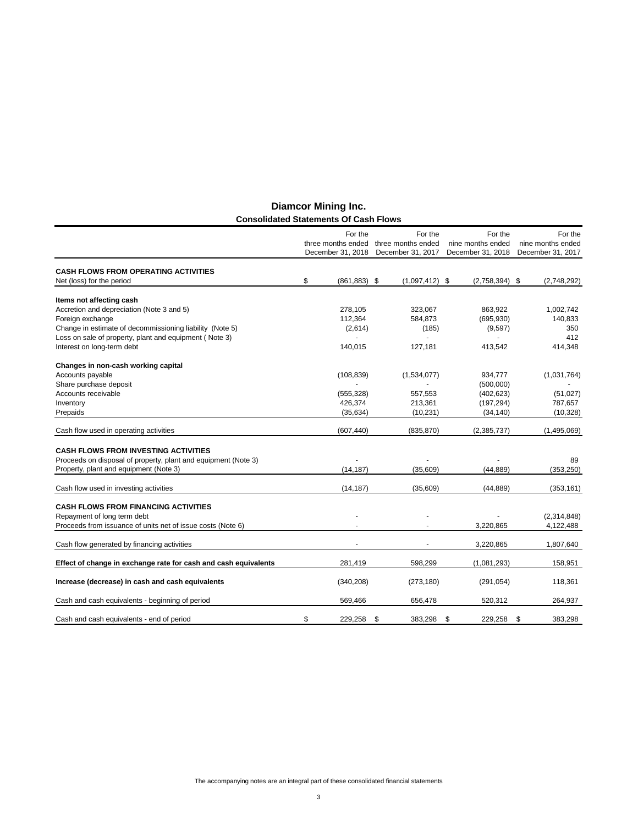|                                                                 | For the                                 | For the                                 | For the                                | For the                                |
|-----------------------------------------------------------------|-----------------------------------------|-----------------------------------------|----------------------------------------|----------------------------------------|
|                                                                 | three months ended<br>December 31, 2018 | three months ended<br>December 31, 2017 | nine months ended<br>December 31, 2018 | nine months ended<br>December 31, 2017 |
|                                                                 |                                         |                                         |                                        |                                        |
| <b>CASH FLOWS FROM OPERATING ACTIVITIES</b>                     |                                         |                                         |                                        |                                        |
| Net (loss) for the period                                       | \$<br>$(861, 883)$ \$                   | $(1,097,412)$ \$                        | $(2,758,394)$ \$                       | (2,748,292)                            |
| Items not affecting cash                                        |                                         |                                         |                                        |                                        |
| Accretion and depreciation (Note 3 and 5)                       | 278,105                                 | 323,067                                 | 863,922                                | 1,002,742                              |
| Foreign exchange                                                | 112,364                                 | 584,873                                 | (695, 930)                             | 140,833                                |
| Change in estimate of decommissioning liability (Note 5)        | (2,614)                                 | (185)                                   | (9,597)                                | 350                                    |
| Loss on sale of property, plant and equipment (Note 3)          | $\blacksquare$                          | $\sim$                                  | $\blacksquare$                         | 412                                    |
| Interest on long-term debt                                      | 140,015                                 | 127,181                                 | 413,542                                | 414,348                                |
| Changes in non-cash working capital                             |                                         |                                         |                                        |                                        |
| Accounts payable                                                | (108, 839)                              | (1,534,077)                             | 934,777                                | (1,031,764)                            |
| Share purchase deposit                                          |                                         |                                         | (500,000)                              |                                        |
| Accounts receivable                                             | (555, 328)                              | 557,553                                 | (402, 623)                             | (51,027)                               |
| Inventory                                                       | 426,374                                 | 213,361                                 | (197, 294)                             | 787,657                                |
| Prepaids                                                        | (35, 634)                               | (10, 231)                               | (34, 140)                              | (10, 328)                              |
| Cash flow used in operating activities                          | (607, 440)                              | (835, 870)                              | (2,385,737)                            | (1,495,069)                            |
| <b>CASH FLOWS FROM INVESTING ACTIVITIES</b>                     |                                         |                                         |                                        |                                        |
| Proceeds on disposal of property, plant and equipment (Note 3)  |                                         |                                         |                                        | 89                                     |
| Property, plant and equipment (Note 3)                          | (14, 187)                               | (35,609)                                | (44.889)                               | (353, 250)                             |
|                                                                 |                                         |                                         |                                        |                                        |
| Cash flow used in investing activities                          | (14, 187)                               | (35,609)                                | (44, 889)                              | (353, 161)                             |
| <b>CASH FLOWS FROM FINANCING ACTIVITIES</b>                     |                                         |                                         |                                        |                                        |
| Repayment of long term debt                                     |                                         |                                         |                                        | (2,314,848)                            |
| Proceeds from issuance of units net of issue costs (Note 6)     |                                         |                                         | 3,220,865                              | 4,122,488                              |
| Cash flow generated by financing activities                     |                                         |                                         | 3,220,865                              | 1,807,640                              |
|                                                                 |                                         |                                         |                                        |                                        |
| Effect of change in exchange rate for cash and cash equivalents | 281,419                                 | 598,299                                 | (1,081,293)                            | 158,951                                |
| Increase (decrease) in cash and cash equivalents                | (340, 208)                              | (273, 180)                              | (291, 054)                             | 118,361                                |
| Cash and cash equivalents - beginning of period                 | 569,466                                 | 656,478                                 | 520,312                                | 264,937                                |
| Cash and cash equivalents - end of period                       | \$<br>229,258                           | \$<br>383,298                           | \$<br>229,258                          | \$<br>383,298                          |

## **Diamcor Mining Inc. Consolidated Statements Of Cash Flows**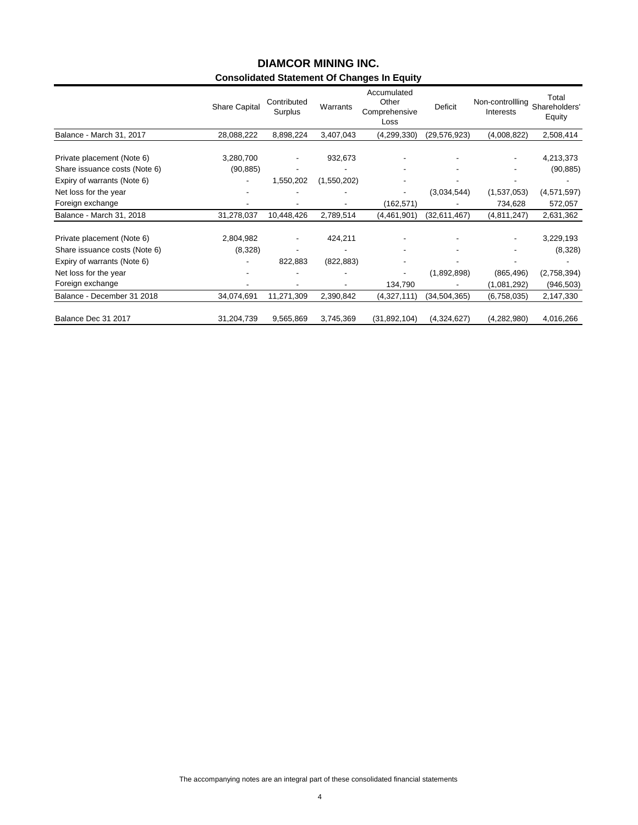## **Consolidated Statement Of Changes In Equity DIAMCOR MINING INC.**

|                                                              | Share Capital | Contributed<br>Surplus | Warrants                                | Accumulated<br>Other<br>Comprehensive<br>Loss | <b>Deficit</b> | Non-controllling<br>Interests | Total<br>Shareholders'<br>Equity |
|--------------------------------------------------------------|---------------|------------------------|-----------------------------------------|-----------------------------------------------|----------------|-------------------------------|----------------------------------|
| Balance - March 31, 2017                                     | 28,088,222    | 8,898,224              | 3,407,043                               | (4,299,330)                                   | (29,576,923)   | (4,008,822)                   | 2,508,414                        |
| Private placement (Note 6)                                   | 3,280,700     |                        | 932,673                                 |                                               |                |                               | 4,213,373                        |
| Share issuance costs (Note 6)<br>Expiry of warrants (Note 6) | (90, 885)     | 1,550,202              | $\overline{\phantom{a}}$<br>(1,550,202) |                                               |                |                               | (90, 885)                        |
| Net loss for the year                                        |               |                        |                                         |                                               | (3,034,544)    | (1,537,053)                   | (4,571,597)                      |
| Foreign exchange                                             |               |                        |                                         | (162, 571)                                    |                | 734,628                       | 572,057                          |
| Balance - March 31, 2018                                     | 31,278,037    | 10,448,426             | 2,789,514                               | (4,461,901)                                   | (32,611,467)   | (4,811,247)                   | 2,631,362                        |
| Private placement (Note 6)                                   | 2,804,982     |                        | 424,211                                 |                                               |                |                               | 3,229,193                        |
| Share issuance costs (Note 6)                                | (8,328)       |                        |                                         |                                               |                |                               | (8,328)                          |
| Expiry of warrants (Note 6)                                  |               | 822,883                | (822, 883)                              |                                               |                |                               |                                  |
| Net loss for the year                                        |               |                        |                                         |                                               | (1,892,898)    | (865, 496)                    | (2,758,394)                      |
| Foreign exchange                                             |               |                        |                                         | 134,790                                       |                | (1,081,292)                   | (946, 503)                       |
| Balance - December 31 2018                                   | 34,074,691    | 11,271,309             | 2,390,842                               | (4,327,111)                                   | (34,504,365)   | (6,758,035)                   | 2,147,330                        |
| Balance Dec 31 2017                                          | 31,204,739    | 9,565,869              | 3,745,369                               | (31,892,104)                                  | (4,324,627)    | (4, 282, 980)                 | 4,016,266                        |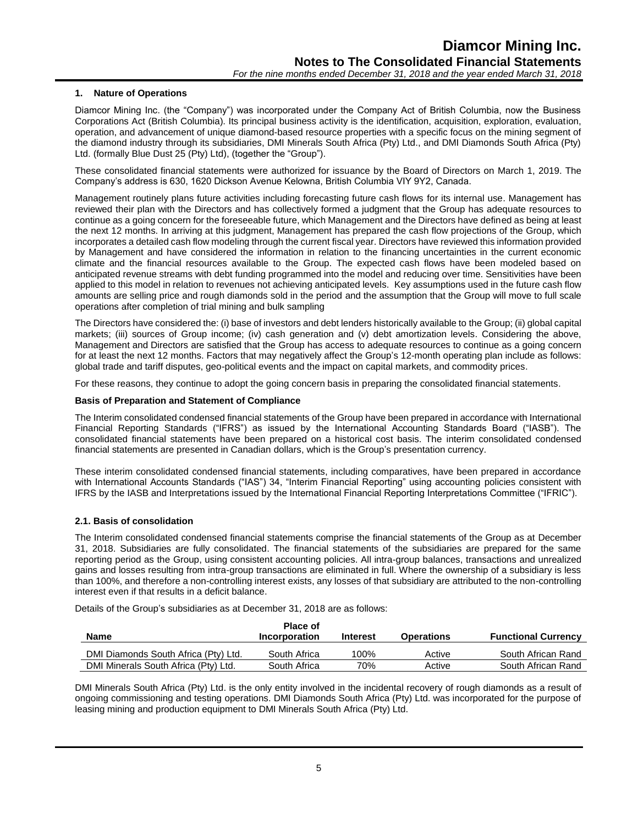## **1. Nature of Operations**

Diamcor Mining Inc. (the "Company") was incorporated under the Company Act of British Columbia, now the Business Corporations Act (British Columbia). Its principal business activity is the identification, acquisition, exploration, evaluation, operation, and advancement of unique diamond-based resource properties with a specific focus on the mining segment of the diamond industry through its subsidiaries, DMI Minerals South Africa (Pty) Ltd., and DMI Diamonds South Africa (Pty) Ltd. (formally Blue Dust 25 (Pty) Ltd), (together the "Group").

These consolidated financial statements were authorized for issuance by the Board of Directors on March 1, 2019. The Company's address is 630, 1620 Dickson Avenue Kelowna, British Columbia VIY 9Y2, Canada.

Management routinely plans future activities including forecasting future cash flows for its internal use. Management has reviewed their plan with the Directors and has collectively formed a judgment that the Group has adequate resources to continue as a going concern for the foreseeable future, which Management and the Directors have defined as being at least the next 12 months. In arriving at this judgment, Management has prepared the cash flow projections of the Group, which incorporates a detailed cash flow modeling through the current fiscal year. Directors have reviewed this information provided by Management and have considered the information in relation to the financing uncertainties in the current economic climate and the financial resources available to the Group. The expected cash flows have been modeled based on anticipated revenue streams with debt funding programmed into the model and reducing over time. Sensitivities have been applied to this model in relation to revenues not achieving anticipated levels. Key assumptions used in the future cash flow amounts are selling price and rough diamonds sold in the period and the assumption that the Group will move to full scale operations after completion of trial mining and bulk sampling

The Directors have considered the: (i) base of investors and debt lenders historically available to the Group; (ii) global capital markets; (iii) sources of Group income; (iv) cash generation and (v) debt amortization levels. Considering the above, Management and Directors are satisfied that the Group has access to adequate resources to continue as a going concern for at least the next 12 months. Factors that may negatively affect the Group's 12-month operating plan include as follows: global trade and tariff disputes, geo-political events and the impact on capital markets, and commodity prices.

For these reasons, they continue to adopt the going concern basis in preparing the consolidated financial statements.

## **Basis of Preparation and Statement of Compliance**

The Interim consolidated condensed financial statements of the Group have been prepared in accordance with International Financial Reporting Standards ("IFRS") as issued by the International Accounting Standards Board ("IASB"). The consolidated financial statements have been prepared on a historical cost basis. The interim consolidated condensed financial statements are presented in Canadian dollars, which is the Group's presentation currency.

These interim consolidated condensed financial statements, including comparatives, have been prepared in accordance with International Accounts Standards ("IAS") 34, "Interim Financial Reporting" using accounting policies consistent with IFRS by the IASB and Interpretations issued by the International Financial Reporting Interpretations Committee ("IFRIC").

## **2.1. Basis of consolidation**

The Interim consolidated condensed financial statements comprise the financial statements of the Group as at December 31, 2018. Subsidiaries are fully consolidated. The financial statements of the subsidiaries are prepared for the same reporting period as the Group, using consistent accounting policies. All intra-group balances, transactions and unrealized gains and losses resulting from intra-group transactions are eliminated in full. Where the ownership of a subsidiary is less than 100%, and therefore a non-controlling interest exists, any losses of that subsidiary are attributed to the non-controlling interest even if that results in a deficit balance.

Details of the Group's subsidiaries as at December 31, 2018 are as follows:

|                                      | <b>Place of</b> |          |                   |                            |
|--------------------------------------|-----------------|----------|-------------------|----------------------------|
| Name                                 | Incorporation   | Interest | <b>Operations</b> | <b>Functional Currency</b> |
| DMI Diamonds South Africa (Pty) Ltd. | South Africa    | 100%     | Active            | South African Rand         |
| DMI Minerals South Africa (Pty) Ltd. | South Africa    | 70%      | Active            | South African Rand         |

DMI Minerals South Africa (Pty) Ltd. is the only entity involved in the incidental recovery of rough diamonds as a result of ongoing commissioning and testing operations. DMI Diamonds South Africa (Pty) Ltd. was incorporated for the purpose of leasing mining and production equipment to DMI Minerals South Africa (Pty) Ltd.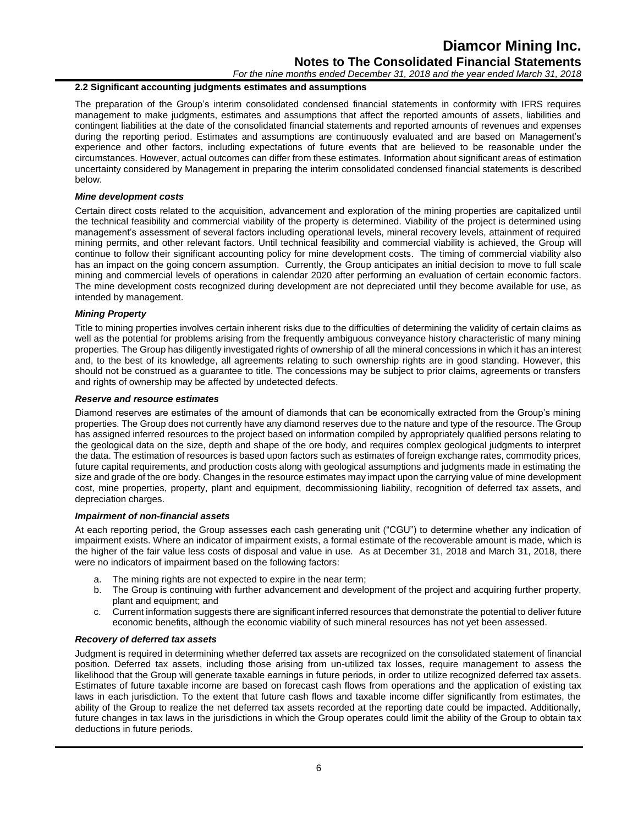## **Diamcor Mining Inc. Notes to The Consolidated Financial Statements**

*For the nine months ended December 31, 2018 and the year ended March 31, 2018*

## **2.2 Significant accounting judgments estimates and assumptions**

The preparation of the Group's interim consolidated condensed financial statements in conformity with IFRS requires management to make judgments, estimates and assumptions that affect the reported amounts of assets, liabilities and contingent liabilities at the date of the consolidated financial statements and reported amounts of revenues and expenses during the reporting period. Estimates and assumptions are continuously evaluated and are based on Management's experience and other factors, including expectations of future events that are believed to be reasonable under the circumstances. However, actual outcomes can differ from these estimates. Information about significant areas of estimation uncertainty considered by Management in preparing the interim consolidated condensed financial statements is described below.

#### *Mine development costs*

Certain direct costs related to the acquisition, advancement and exploration of the mining properties are capitalized until the technical feasibility and commercial viability of the property is determined. Viability of the project is determined using management's assessment of several factors including operational levels, mineral recovery levels, attainment of required mining permits, and other relevant factors. Until technical feasibility and commercial viability is achieved, the Group will continue to follow their significant accounting policy for mine development costs. The timing of commercial viability also has an impact on the going concern assumption. Currently, the Group anticipates an initial decision to move to full scale mining and commercial levels of operations in calendar 2020 after performing an evaluation of certain economic factors. The mine development costs recognized during development are not depreciated until they become available for use, as intended by management.

#### *Mining Property*

Title to mining properties involves certain inherent risks due to the difficulties of determining the validity of certain claims as well as the potential for problems arising from the frequently ambiguous conveyance history characteristic of many mining properties. The Group has diligently investigated rights of ownership of all the mineral concessions in which it has an interest and, to the best of its knowledge, all agreements relating to such ownership rights are in good standing. However, this should not be construed as a guarantee to title. The concessions may be subject to prior claims, agreements or transfers and rights of ownership may be affected by undetected defects.

#### *Reserve and resource estimates*

Diamond reserves are estimates of the amount of diamonds that can be economically extracted from the Group's mining properties. The Group does not currently have any diamond reserves due to the nature and type of the resource. The Group has assigned inferred resources to the project based on information compiled by appropriately qualified persons relating to the geological data on the size, depth and shape of the ore body, and requires complex geological judgments to interpret the data. The estimation of resources is based upon factors such as estimates of foreign exchange rates, commodity prices, future capital requirements, and production costs along with geological assumptions and judgments made in estimating the size and grade of the ore body. Changes in the resource estimates may impact upon the carrying value of mine development cost, mine properties, property, plant and equipment, decommissioning liability, recognition of deferred tax assets, and depreciation charges.

#### *Impairment of non-financial assets*

At each reporting period, the Group assesses each cash generating unit ("CGU") to determine whether any indication of impairment exists. Where an indicator of impairment exists, a formal estimate of the recoverable amount is made, which is the higher of the fair value less costs of disposal and value in use. As at December 31, 2018 and March 31, 2018, there were no indicators of impairment based on the following factors:

- a. The mining rights are not expected to expire in the near term;
- b. The Group is continuing with further advancement and development of the project and acquiring further property, plant and equipment; and
- c. Current information suggests there are significant inferred resources that demonstrate the potential to deliver future economic benefits, although the economic viability of such mineral resources has not yet been assessed.

#### *Recovery of deferred tax assets*

Judgment is required in determining whether deferred tax assets are recognized on the consolidated statement of financial position. Deferred tax assets, including those arising from un-utilized tax losses, require management to assess the likelihood that the Group will generate taxable earnings in future periods, in order to utilize recognized deferred tax assets. Estimates of future taxable income are based on forecast cash flows from operations and the application of existing tax laws in each jurisdiction. To the extent that future cash flows and taxable income differ significantly from estimates, the ability of the Group to realize the net deferred tax assets recorded at the reporting date could be impacted. Additionally, future changes in tax laws in the jurisdictions in which the Group operates could limit the ability of the Group to obtain tax deductions in future periods.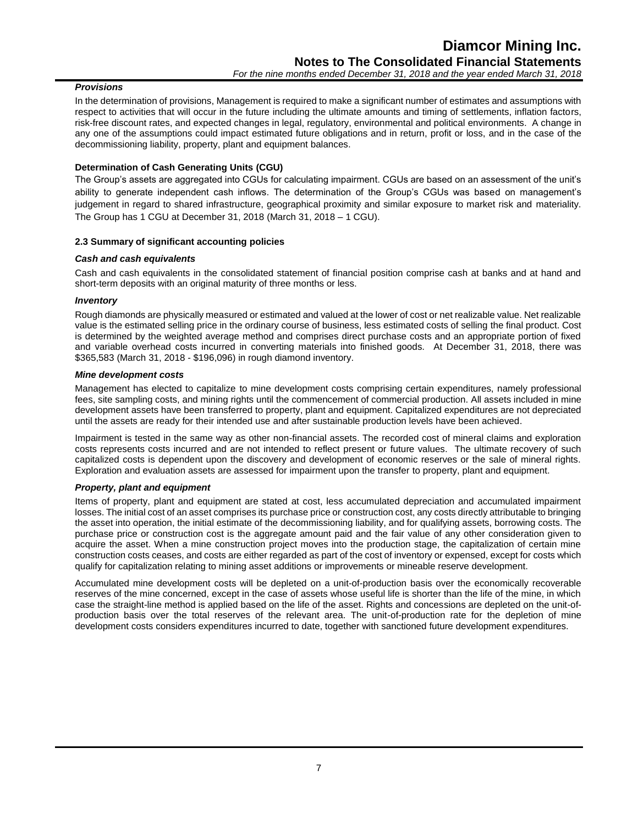## *Provisions*

In the determination of provisions, Management is required to make a significant number of estimates and assumptions with respect to activities that will occur in the future including the ultimate amounts and timing of settlements, inflation factors, risk-free discount rates, and expected changes in legal, regulatory, environmental and political environments. A change in any one of the assumptions could impact estimated future obligations and in return, profit or loss, and in the case of the decommissioning liability, property, plant and equipment balances.

## **Determination of Cash Generating Units (CGU)**

The Group's assets are aggregated into CGUs for calculating impairment. CGUs are based on an assessment of the unit's ability to generate independent cash inflows. The determination of the Group's CGUs was based on management's judgement in regard to shared infrastructure, geographical proximity and similar exposure to market risk and materiality. The Group has 1 CGU at December 31, 2018 (March 31, 2018 – 1 CGU).

## **2.3 Summary of significant accounting policies**

## *Cash and cash equivalents*

Cash and cash equivalents in the consolidated statement of financial position comprise cash at banks and at hand and short-term deposits with an original maturity of three months or less.

## *Inventory*

Rough diamonds are physically measured or estimated and valued at the lower of cost or net realizable value. Net realizable value is the estimated selling price in the ordinary course of business, less estimated costs of selling the final product. Cost is determined by the weighted average method and comprises direct purchase costs and an appropriate portion of fixed and variable overhead costs incurred in converting materials into finished goods. At December 31, 2018, there was \$365,583 (March 31, 2018 - \$196,096) in rough diamond inventory.

## *Mine development costs*

Management has elected to capitalize to mine development costs comprising certain expenditures, namely professional fees, site sampling costs, and mining rights until the commencement of commercial production. All assets included in mine development assets have been transferred to property, plant and equipment. Capitalized expenditures are not depreciated until the assets are ready for their intended use and after sustainable production levels have been achieved.

Impairment is tested in the same way as other non-financial assets. The recorded cost of mineral claims and exploration costs represents costs incurred and are not intended to reflect present or future values. The ultimate recovery of such capitalized costs is dependent upon the discovery and development of economic reserves or the sale of mineral rights. Exploration and evaluation assets are assessed for impairment upon the transfer to property, plant and equipment.

## *Property, plant and equipment*

Items of property, plant and equipment are stated at cost, less accumulated depreciation and accumulated impairment losses. The initial cost of an asset comprises its purchase price or construction cost, any costs directly attributable to bringing the asset into operation, the initial estimate of the decommissioning liability, and for qualifying assets, borrowing costs. The purchase price or construction cost is the aggregate amount paid and the fair value of any other consideration given to acquire the asset. When a mine construction project moves into the production stage, the capitalization of certain mine construction costs ceases, and costs are either regarded as part of the cost of inventory or expensed, except for costs which qualify for capitalization relating to mining asset additions or improvements or mineable reserve development.

Accumulated mine development costs will be depleted on a unit-of-production basis over the economically recoverable reserves of the mine concerned, except in the case of assets whose useful life is shorter than the life of the mine, in which case the straight-line method is applied based on the life of the asset. Rights and concessions are depleted on the unit-ofproduction basis over the total reserves of the relevant area. The unit-of-production rate for the depletion of mine development costs considers expenditures incurred to date, together with sanctioned future development expenditures.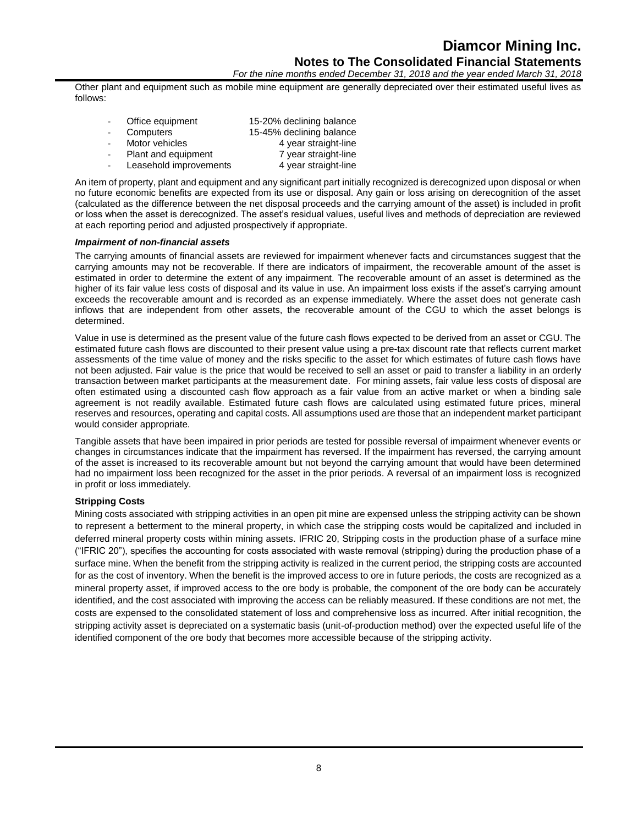*For the nine months ended December 31, 2018 and the year ended March 31, 2018*

Other plant and equipment such as mobile mine equipment are generally depreciated over their estimated useful lives as follows:

| Office equipment       | 15-20% declining balance |
|------------------------|--------------------------|
| Computers              | 15-45% declining balance |
| Motor vehicles         | 4 year straight-line     |
| Plant and equipment    | 7 year straight-line     |
| Leasehold improvements | 4 year straight-line     |

An item of property, plant and equipment and any significant part initially recognized is derecognized upon disposal or when no future economic benefits are expected from its use or disposal. Any gain or loss arising on derecognition of the asset (calculated as the difference between the net disposal proceeds and the carrying amount of the asset) is included in profit or loss when the asset is derecognized. The asset's residual values, useful lives and methods of depreciation are reviewed at each reporting period and adjusted prospectively if appropriate.

#### *Impairment of non-financial assets*

The carrying amounts of financial assets are reviewed for impairment whenever facts and circumstances suggest that the carrying amounts may not be recoverable. If there are indicators of impairment, the recoverable amount of the asset is estimated in order to determine the extent of any impairment. The recoverable amount of an asset is determined as the higher of its fair value less costs of disposal and its value in use. An impairment loss exists if the asset's carrying amount exceeds the recoverable amount and is recorded as an expense immediately. Where the asset does not generate cash inflows that are independent from other assets, the recoverable amount of the CGU to which the asset belongs is determined.

Value in use is determined as the present value of the future cash flows expected to be derived from an asset or CGU. The estimated future cash flows are discounted to their present value using a pre-tax discount rate that reflects current market assessments of the time value of money and the risks specific to the asset for which estimates of future cash flows have not been adjusted. Fair value is the price that would be received to sell an asset or paid to transfer a liability in an orderly transaction between market participants at the measurement date. For mining assets, fair value less costs of disposal are often estimated using a discounted cash flow approach as a fair value from an active market or when a binding sale agreement is not readily available. Estimated future cash flows are calculated using estimated future prices, mineral reserves and resources, operating and capital costs. All assumptions used are those that an independent market participant would consider appropriate.

Tangible assets that have been impaired in prior periods are tested for possible reversal of impairment whenever events or changes in circumstances indicate that the impairment has reversed. If the impairment has reversed, the carrying amount of the asset is increased to its recoverable amount but not beyond the carrying amount that would have been determined had no impairment loss been recognized for the asset in the prior periods. A reversal of an impairment loss is recognized in profit or loss immediately.

## **Stripping Costs**

Mining costs associated with stripping activities in an open pit mine are expensed unless the stripping activity can be shown to represent a betterment to the mineral property, in which case the stripping costs would be capitalized and included in deferred mineral property costs within mining assets. IFRIC 20, Stripping costs in the production phase of a surface mine ("IFRIC 20"), specifies the accounting for costs associated with waste removal (stripping) during the production phase of a surface mine. When the benefit from the stripping activity is realized in the current period, the stripping costs are accounted for as the cost of inventory. When the benefit is the improved access to ore in future periods, the costs are recognized as a mineral property asset, if improved access to the ore body is probable, the component of the ore body can be accurately identified, and the cost associated with improving the access can be reliably measured. If these conditions are not met, the costs are expensed to the consolidated statement of loss and comprehensive loss as incurred. After initial recognition, the stripping activity asset is depreciated on a systematic basis (unit-of-production method) over the expected useful life of the identified component of the ore body that becomes more accessible because of the stripping activity.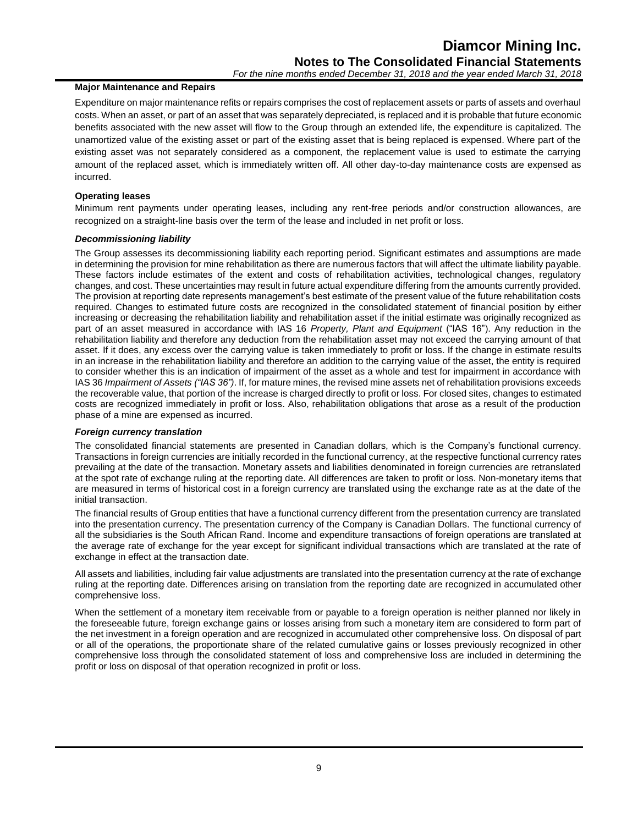## **Major Maintenance and Repairs**

Expenditure on major maintenance refits or repairs comprises the cost of replacement assets or parts of assets and overhaul costs. When an asset, or part of an asset that was separately depreciated, is replaced and it is probable that future economic benefits associated with the new asset will flow to the Group through an extended life, the expenditure is capitalized. The unamortized value of the existing asset or part of the existing asset that is being replaced is expensed. Where part of the existing asset was not separately considered as a component, the replacement value is used to estimate the carrying amount of the replaced asset, which is immediately written off. All other day-to-day maintenance costs are expensed as incurred.

## **Operating leases**

Minimum rent payments under operating leases, including any rent-free periods and/or construction allowances, are recognized on a straight-line basis over the term of the lease and included in net profit or loss.

## *Decommissioning liability*

The Group assesses its decommissioning liability each reporting period. Significant estimates and assumptions are made in determining the provision for mine rehabilitation as there are numerous factors that will affect the ultimate liability payable. These factors include estimates of the extent and costs of rehabilitation activities, technological changes, regulatory changes, and cost. These uncertainties may result in future actual expenditure differing from the amounts currently provided. The provision at reporting date represents management's best estimate of the present value of the future rehabilitation costs required. Changes to estimated future costs are recognized in the consolidated statement of financial position by either increasing or decreasing the rehabilitation liability and rehabilitation asset if the initial estimate was originally recognized as part of an asset measured in accordance with IAS 16 *Property, Plant and Equipment* ("IAS 16"). Any reduction in the rehabilitation liability and therefore any deduction from the rehabilitation asset may not exceed the carrying amount of that asset. If it does, any excess over the carrying value is taken immediately to profit or loss. If the change in estimate results in an increase in the rehabilitation liability and therefore an addition to the carrying value of the asset, the entity is required to consider whether this is an indication of impairment of the asset as a whole and test for impairment in accordance with IAS 36 *Impairment of Assets ("IAS 36")*. If, for mature mines, the revised mine assets net of rehabilitation provisions exceeds the recoverable value, that portion of the increase is charged directly to profit or loss. For closed sites, changes to estimated costs are recognized immediately in profit or loss. Also, rehabilitation obligations that arose as a result of the production phase of a mine are expensed as incurred.

## *Foreign currency translation*

The consolidated financial statements are presented in Canadian dollars, which is the Company's functional currency. Transactions in foreign currencies are initially recorded in the functional currency, at the respective functional currency rates prevailing at the date of the transaction. Monetary assets and liabilities denominated in foreign currencies are retranslated at the spot rate of exchange ruling at the reporting date. All differences are taken to profit or loss. Non-monetary items that are measured in terms of historical cost in a foreign currency are translated using the exchange rate as at the date of the initial transaction.

The financial results of Group entities that have a functional currency different from the presentation currency are translated into the presentation currency. The presentation currency of the Company is Canadian Dollars. The functional currency of all the subsidiaries is the South African Rand. Income and expenditure transactions of foreign operations are translated at the average rate of exchange for the year except for significant individual transactions which are translated at the rate of exchange in effect at the transaction date.

All assets and liabilities, including fair value adjustments are translated into the presentation currency at the rate of exchange ruling at the reporting date. Differences arising on translation from the reporting date are recognized in accumulated other comprehensive loss.

When the settlement of a monetary item receivable from or payable to a foreign operation is neither planned nor likely in the foreseeable future, foreign exchange gains or losses arising from such a monetary item are considered to form part of the net investment in a foreign operation and are recognized in accumulated other comprehensive loss. On disposal of part or all of the operations, the proportionate share of the related cumulative gains or losses previously recognized in other comprehensive loss through the consolidated statement of loss and comprehensive loss are included in determining the profit or loss on disposal of that operation recognized in profit or loss.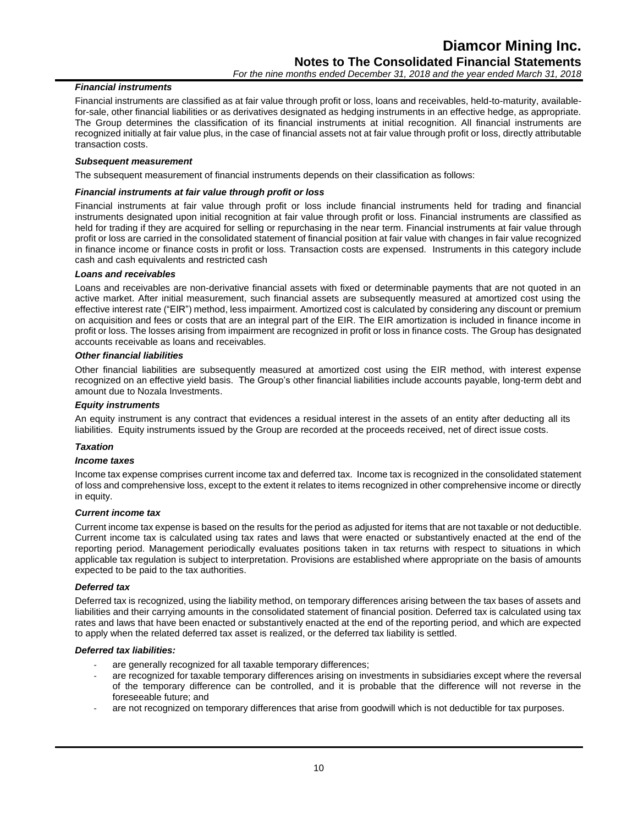## *Financial instruments*

Financial instruments are classified as at fair value through profit or loss, loans and receivables, held-to-maturity, availablefor-sale, other financial liabilities or as derivatives designated as hedging instruments in an effective hedge, as appropriate. The Group determines the classification of its financial instruments at initial recognition. All financial instruments are recognized initially at fair value plus, in the case of financial assets not at fair value through profit or loss, directly attributable transaction costs.

## *Subsequent measurement*

The subsequent measurement of financial instruments depends on their classification as follows:

#### *Financial instruments at fair value through profit or loss*

Financial instruments at fair value through profit or loss include financial instruments held for trading and financial instruments designated upon initial recognition at fair value through profit or loss. Financial instruments are classified as held for trading if they are acquired for selling or repurchasing in the near term. Financial instruments at fair value through profit or loss are carried in the consolidated statement of financial position at fair value with changes in fair value recognized in finance income or finance costs in profit or loss. Transaction costs are expensed. Instruments in this category include cash and cash equivalents and restricted cash

## *Loans and receivables*

Loans and receivables are non-derivative financial assets with fixed or determinable payments that are not quoted in an active market. After initial measurement, such financial assets are subsequently measured at amortized cost using the effective interest rate ("EIR") method, less impairment. Amortized cost is calculated by considering any discount or premium on acquisition and fees or costs that are an integral part of the EIR. The EIR amortization is included in finance income in profit or loss. The losses arising from impairment are recognized in profit or loss in finance costs. The Group has designated accounts receivable as loans and receivables.

#### *Other financial liabilities*

Other financial liabilities are subsequently measured at amortized cost using the EIR method, with interest expense recognized on an effective yield basis. The Group's other financial liabilities include accounts payable, long-term debt and amount due to Nozala Investments.

#### *Equity instruments*

An equity instrument is any contract that evidences a residual interest in the assets of an entity after deducting all its liabilities. Equity instruments issued by the Group are recorded at the proceeds received, net of direct issue costs.

## *Taxation*

## *Income taxes*

Income tax expense comprises current income tax and deferred tax. Income tax is recognized in the consolidated statement of loss and comprehensive loss, except to the extent it relates to items recognized in other comprehensive income or directly in equity.

#### *Current income tax*

Current income tax expense is based on the results for the period as adjusted for items that are not taxable or not deductible. Current income tax is calculated using tax rates and laws that were enacted or substantively enacted at the end of the reporting period. Management periodically evaluates positions taken in tax returns with respect to situations in which applicable tax regulation is subject to interpretation. Provisions are established where appropriate on the basis of amounts expected to be paid to the tax authorities.

#### *Deferred tax*

Deferred tax is recognized, using the liability method, on temporary differences arising between the tax bases of assets and liabilities and their carrying amounts in the consolidated statement of financial position. Deferred tax is calculated using tax rates and laws that have been enacted or substantively enacted at the end of the reporting period, and which are expected to apply when the related deferred tax asset is realized, or the deferred tax liability is settled.

#### *Deferred tax liabilities:*

- are generally recognized for all taxable temporary differences;
- are recognized for taxable temporary differences arising on investments in subsidiaries except where the reversal of the temporary difference can be controlled, and it is probable that the difference will not reverse in the foreseeable future; and
- are not recognized on temporary differences that arise from goodwill which is not deductible for tax purposes.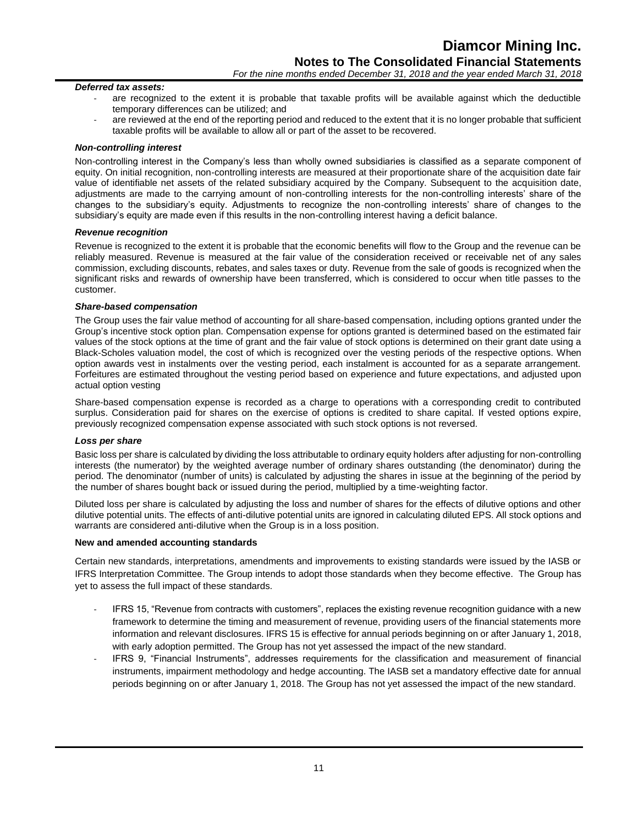#### *Deferred tax assets:*

- are recognized to the extent it is probable that taxable profits will be available against which the deductible temporary differences can be utilized; and
- are reviewed at the end of the reporting period and reduced to the extent that it is no longer probable that sufficient taxable profits will be available to allow all or part of the asset to be recovered.

#### *Non-controlling interest*

Non-controlling interest in the Company's less than wholly owned subsidiaries is classified as a separate component of equity. On initial recognition, non-controlling interests are measured at their proportionate share of the acquisition date fair value of identifiable net assets of the related subsidiary acquired by the Company. Subsequent to the acquisition date, adjustments are made to the carrying amount of non-controlling interests for the non-controlling interests' share of the changes to the subsidiary's equity. Adjustments to recognize the non-controlling interests' share of changes to the subsidiary's equity are made even if this results in the non-controlling interest having a deficit balance.

#### *Revenue recognition*

Revenue is recognized to the extent it is probable that the economic benefits will flow to the Group and the revenue can be reliably measured. Revenue is measured at the fair value of the consideration received or receivable net of any sales commission, excluding discounts, rebates, and sales taxes or duty. Revenue from the sale of goods is recognized when the significant risks and rewards of ownership have been transferred, which is considered to occur when title passes to the customer.

#### *Share-based compensation*

The Group uses the fair value method of accounting for all share-based compensation, including options granted under the Group's incentive stock option plan. Compensation expense for options granted is determined based on the estimated fair values of the stock options at the time of grant and the fair value of stock options is determined on their grant date using a Black-Scholes valuation model, the cost of which is recognized over the vesting periods of the respective options. When option awards vest in instalments over the vesting period, each instalment is accounted for as a separate arrangement. Forfeitures are estimated throughout the vesting period based on experience and future expectations, and adjusted upon actual option vesting

Share-based compensation expense is recorded as a charge to operations with a corresponding credit to contributed surplus. Consideration paid for shares on the exercise of options is credited to share capital. If vested options expire, previously recognized compensation expense associated with such stock options is not reversed.

#### *Loss per share*

Basic loss per share is calculated by dividing the loss attributable to ordinary equity holders after adjusting for non-controlling interests (the numerator) by the weighted average number of ordinary shares outstanding (the denominator) during the period. The denominator (number of units) is calculated by adjusting the shares in issue at the beginning of the period by the number of shares bought back or issued during the period, multiplied by a time-weighting factor.

Diluted loss per share is calculated by adjusting the loss and number of shares for the effects of dilutive options and other dilutive potential units. The effects of anti-dilutive potential units are ignored in calculating diluted EPS. All stock options and warrants are considered anti-dilutive when the Group is in a loss position.

## **New and amended accounting standards**

Certain new standards, interpretations, amendments and improvements to existing standards were issued by the IASB or IFRS Interpretation Committee. The Group intends to adopt those standards when they become effective. The Group has yet to assess the full impact of these standards.

- IFRS 15, "Revenue from contracts with customers", replaces the existing revenue recognition guidance with a new framework to determine the timing and measurement of revenue, providing users of the financial statements more information and relevant disclosures. IFRS 15 is effective for annual periods beginning on or after January 1, 2018, with early adoption permitted. The Group has not yet assessed the impact of the new standard.
- IFRS 9, "Financial Instruments", addresses requirements for the classification and measurement of financial instruments, impairment methodology and hedge accounting. The IASB set a mandatory effective date for annual periods beginning on or after January 1, 2018. The Group has not yet assessed the impact of the new standard.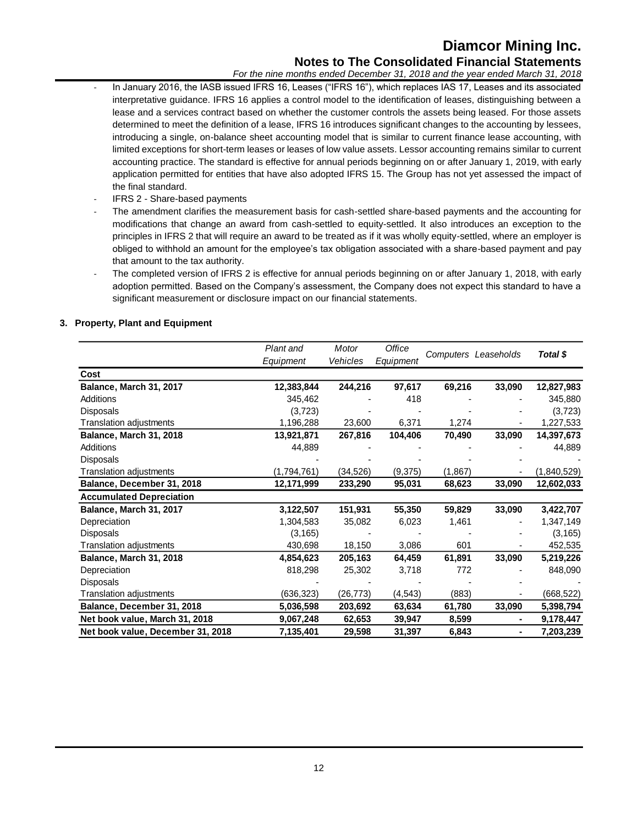## **Diamcor Mining Inc. Notes to The Consolidated Financial Statements**

*For the nine months ended December 31, 2018 and the year ended March 31, 2018*

- In January 2016, the IASB issued IFRS 16, Leases ("IFRS 16"), which replaces IAS 17, Leases and its associated interpretative guidance. IFRS 16 applies a control model to the identification of leases, distinguishing between a lease and a services contract based on whether the customer controls the assets being leased. For those assets determined to meet the definition of a lease, IFRS 16 introduces significant changes to the accounting by lessees, introducing a single, on-balance sheet accounting model that is similar to current finance lease accounting, with limited exceptions for short-term leases or leases of low value assets. Lessor accounting remains similar to current accounting practice. The standard is effective for annual periods beginning on or after January 1, 2019, with early application permitted for entities that have also adopted IFRS 15. The Group has not yet assessed the impact of the final standard.
- IFRS 2 Share-based payments
- The amendment clarifies the measurement basis for cash-settled share-based payments and the accounting for modifications that change an award from cash-settled to equity-settled. It also introduces an exception to the principles in IFRS 2 that will require an award to be treated as if it was wholly equity-settled, where an employer is obliged to withhold an amount for the employee's tax obligation associated with a share-based payment and pay that amount to the tax authority.
- The completed version of IFRS 2 is effective for annual periods beginning on or after January 1, 2018, with early adoption permitted. Based on the Company's assessment, the Company does not expect this standard to have a significant measurement or disclosure impact on our financial statements.

## **3. Property, Plant and Equipment**

|                                   | Plant and   | Motor     | Office    |         |                      |             |  |
|-----------------------------------|-------------|-----------|-----------|---------|----------------------|-------------|--|
|                                   | Equipment   | Vehicles  | Equipment |         | Computers Leaseholds | Total \$    |  |
| Cost                              |             |           |           |         |                      |             |  |
| Balance, March 31, 2017           | 12,383,844  | 244,216   | 97,617    | 69,216  | 33,090               | 12,827,983  |  |
| Additions                         | 345,462     |           | 418       |         |                      | 345,880     |  |
| <b>Disposals</b>                  | (3,723)     |           |           |         |                      | (3,723)     |  |
| Translation adjustments           | 1,196,288   | 23,600    | 6,371     | 1,274   |                      | 1,227,533   |  |
| Balance, March 31, 2018           | 13,921,871  | 267,816   | 104,406   | 70,490  | 33,090               | 14,397,673  |  |
| <b>Additions</b>                  | 44,889      |           |           |         |                      | 44,889      |  |
| <b>Disposals</b>                  |             |           |           |         |                      |             |  |
| Translation adjustments           | (1,794,761) | (34,526)  | (9,375)   | (1,867) |                      | (1,840,529) |  |
| Balance, December 31, 2018        | 12,171,999  | 233,290   | 95,031    | 68,623  | 33,090               | 12,602,033  |  |
| <b>Accumulated Depreciation</b>   |             |           |           |         |                      |             |  |
| Balance, March 31, 2017           | 3,122,507   | 151,931   | 55,350    | 59,829  | 33,090               | 3,422,707   |  |
| Depreciation                      | 1,304,583   | 35,082    | 6,023     | 1,461   |                      | 1,347,149   |  |
| <b>Disposals</b>                  | (3, 165)    |           |           |         |                      | (3, 165)    |  |
| Translation adjustments           | 430,698     | 18,150    | 3,086     | 601     |                      | 452,535     |  |
| Balance, March 31, 2018           | 4,854,623   | 205,163   | 64,459    | 61,891  | 33,090               | 5,219,226   |  |
| Depreciation                      | 818,298     | 25,302    | 3,718     | 772     |                      | 848,090     |  |
| <b>Disposals</b>                  |             |           |           |         |                      |             |  |
| Translation adjustments           | (636,323)   | (26, 773) | (4, 543)  | (883)   |                      | (668, 522)  |  |
| Balance, December 31, 2018        | 5,036,598   | 203,692   | 63,634    | 61,780  | 33,090               | 5,398,794   |  |
| Net book value, March 31, 2018    | 9,067,248   | 62,653    | 39,947    | 8,599   | $\blacksquare$       | 9,178,447   |  |
| Net book value, December 31, 2018 | 7,135,401   | 29,598    | 31,397    | 6,843   |                      | 7,203,239   |  |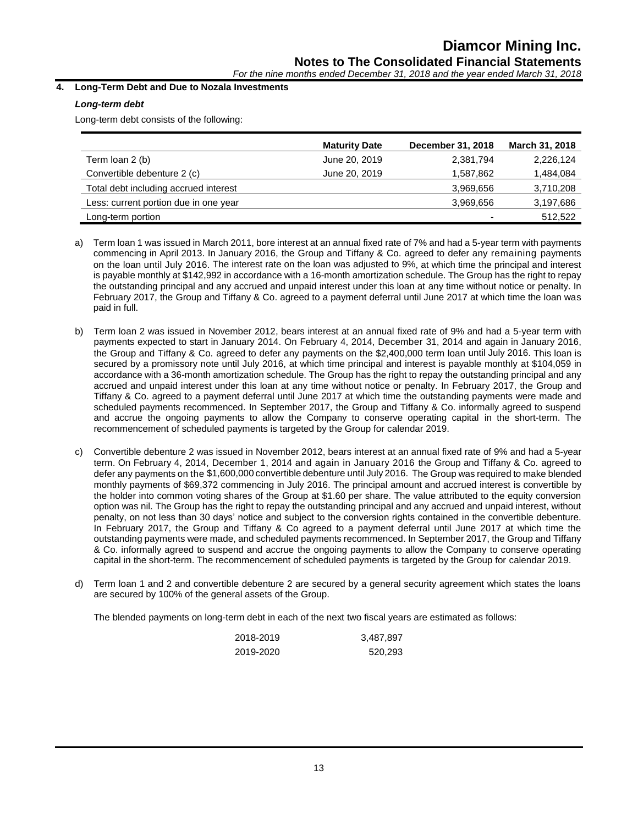*For the nine months ended December 31, 2018 and the year ended March 31, 2018*

## **4. Long-Term Debt and Due to Nozala Investments**

## *Long-term debt*

Long-term debt consists of the following:

|                                       | <b>Maturity Date</b> | December 31, 2018 | March 31, 2018 |
|---------------------------------------|----------------------|-------------------|----------------|
| Term loan 2 (b)                       | June 20, 2019        | 2,381,794         | 2,226,124      |
| Convertible debenture 2 (c)           | June 20, 2019        | 1,587,862         | 1,484,084      |
| Total debt including accrued interest |                      | 3,969,656         | 3,710,208      |
| Less: current portion due in one year |                      | 3,969,656         | 3,197,686      |
| Long-term portion                     |                      |                   | 512,522        |

- a) Term loan 1 was issued in March 2011, bore interest at an annual fixed rate of 7% and had a 5-year term with payments commencing in April 2013. In January 2016, the Group and Tiffany & Co. agreed to defer any remaining payments on the loan until July 2016. The interest rate on the loan was adjusted to 9%, at which time the principal and interest is payable monthly at \$142,992 in accordance with a 16-month amortization schedule. The Group has the right to repay the outstanding principal and any accrued and unpaid interest under this loan at any time without notice or penalty. In February 2017, the Group and Tiffany & Co. agreed to a payment deferral until June 2017 at which time the loan was paid in full.
- b) Term loan 2 was issued in November 2012, bears interest at an annual fixed rate of 9% and had a 5-year term with payments expected to start in January 2014. On February 4, 2014, December 31, 2014 and again in January 2016, the Group and Tiffany & Co. agreed to defer any payments on the \$2,400,000 term loan until July 2016. This loan is secured by a promissory note until July 2016, at which time principal and interest is payable monthly at \$104,059 in accordance with a 36-month amortization schedule. The Group has the right to repay the outstanding principal and any accrued and unpaid interest under this loan at any time without notice or penalty. In February 2017, the Group and Tiffany & Co. agreed to a payment deferral until June 2017 at which time the outstanding payments were made and scheduled payments recommenced. In September 2017, the Group and Tiffany & Co. informally agreed to suspend and accrue the ongoing payments to allow the Company to conserve operating capital in the short-term. The recommencement of scheduled payments is targeted by the Group for calendar 2019.
- c) Convertible debenture 2 was issued in November 2012, bears interest at an annual fixed rate of 9% and had a 5-year term. On February 4, 2014, December 1, 2014 and again in January 2016 the Group and Tiffany & Co. agreed to defer any payments on the \$1,600,000 convertible debenture until July 2016. The Group was required to make blended monthly payments of \$69,372 commencing in July 2016. The principal amount and accrued interest is convertible by the holder into common voting shares of the Group at \$1.60 per share. The value attributed to the equity conversion option was nil. The Group has the right to repay the outstanding principal and any accrued and unpaid interest, without penalty, on not less than 30 days' notice and subject to the conversion rights contained in the convertible debenture. In February 2017, the Group and Tiffany & Co agreed to a payment deferral until June 2017 at which time the outstanding payments were made, and scheduled payments recommenced. In September 2017, the Group and Tiffany & Co. informally agreed to suspend and accrue the ongoing payments to allow the Company to conserve operating capital in the short-term. The recommencement of scheduled payments is targeted by the Group for calendar 2019.
- d) Term loan 1 and 2 and convertible debenture 2 are secured by a general security agreement which states the loans are secured by 100% of the general assets of the Group.

The blended payments on long-term debt in each of the next two fiscal years are estimated as follows:

| 2018-2019 | 3,487,897 |
|-----------|-----------|
| 2019-2020 | 520,293   |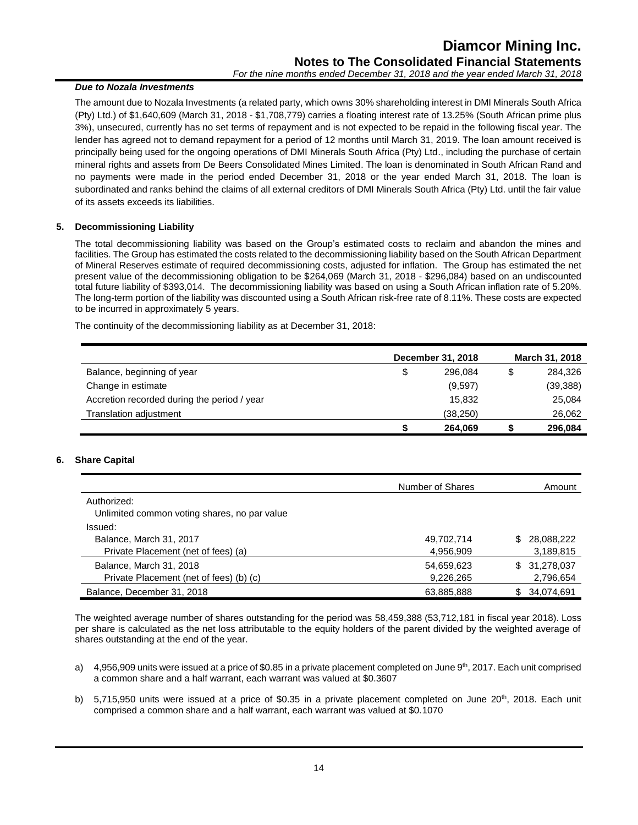## *Due to Nozala Investments*

The amount due to Nozala Investments (a related party, which owns 30% shareholding interest in DMI Minerals South Africa (Pty) Ltd.) of \$1,640,609 (March 31, 2018 - \$1,708,779) carries a floating interest rate of 13.25% (South African prime plus 3%), unsecured, currently has no set terms of repayment and is not expected to be repaid in the following fiscal year. The lender has agreed not to demand repayment for a period of 12 months until March 31, 2019. The loan amount received is principally being used for the ongoing operations of DMI Minerals South Africa (Pty) Ltd., including the purchase of certain mineral rights and assets from De Beers Consolidated Mines Limited. The loan is denominated in South African Rand and no payments were made in the period ended December 31, 2018 or the year ended March 31, 2018. The loan is subordinated and ranks behind the claims of all external creditors of DMI Minerals South Africa (Pty) Ltd. until the fair value of its assets exceeds its liabilities.

## **5. Decommissioning Liability**

The total decommissioning liability was based on the Group's estimated costs to reclaim and abandon the mines and facilities. The Group has estimated the costs related to the decommissioning liability based on the South African Department of Mineral Reserves estimate of required decommissioning costs, adjusted for inflation. The Group has estimated the net present value of the decommissioning obligation to be \$264,069 (March 31, 2018 - \$296,084) based on an undiscounted total future liability of \$393,014. The decommissioning liability was based on using a South African inflation rate of 5.20%. The long-term portion of the liability was discounted using a South African risk-free rate of 8.11%. These costs are expected to be incurred in approximately 5 years.

The continuity of the decommissioning liability as at December 31, 2018:

|                                             | December 31, 2018 |           |   | March 31, 2018 |
|---------------------------------------------|-------------------|-----------|---|----------------|
| Balance, beginning of year                  | \$                | 296.084   | S | 284.326        |
| Change in estimate                          |                   | (9,597)   |   | (39, 388)      |
| Accretion recorded during the period / year |                   | 15.832    |   | 25,084         |
| Translation adjustment                      |                   | (38, 250) |   | 26,062         |
|                                             | S                 | 264,069   |   | 296.084        |

## **6. Share Capital**

|                                              | Number of Shares | Amount            |
|----------------------------------------------|------------------|-------------------|
| Authorized:                                  |                  |                   |
| Unlimited common voting shares, no par value |                  |                   |
| Issued:                                      |                  |                   |
| Balance, March 31, 2017                      | 49,702,714       | 28.088.222<br>\$. |
| Private Placement (net of fees) (a)          | 4,956,909        | 3,189,815         |
| Balance, March 31, 2018                      | 54,659,623       | 31,278,037<br>\$. |
| Private Placement (net of fees) (b) (c)      | 9,226,265        | 2,796,654         |
| Balance, December 31, 2018                   | 63,885,888       | 34,074,691<br>\$. |

The weighted average number of shares outstanding for the period was 58,459,388 (53,712,181 in fiscal year 2018). Loss per share is calculated as the net loss attributable to the equity holders of the parent divided by the weighted average of shares outstanding at the end of the year.

- a)  $4.956,909$  units were issued at a price of \$0.85 in a private placement completed on June  $9<sup>th</sup>$ , 2017. Each unit comprised a common share and a half warrant, each warrant was valued at \$0.3607
- b) 5,715,950 units were issued at a price of \$0.35 in a private placement completed on June  $20<sup>th</sup>$ , 2018. Each unit comprised a common share and a half warrant, each warrant was valued at \$0.1070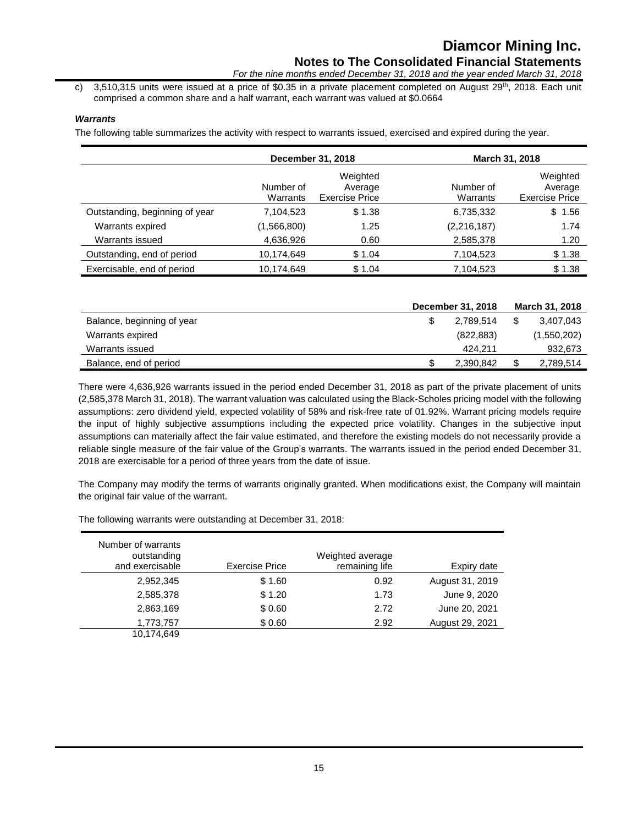c) 3,510,315 units were issued at a price of \$0.35 in a private placement completed on August  $29^{th}$ , 2018. Each unit comprised a common share and a half warrant, each warrant was valued at \$0.0664

## *Warrants*

The following table summarizes the activity with respect to warrants issued, exercised and expired during the year.

|                                | December 31, 2018     |                                              |                       | March 31, 2018                               |
|--------------------------------|-----------------------|----------------------------------------------|-----------------------|----------------------------------------------|
|                                | Number of<br>Warrants | Weighted<br>Average<br><b>Exercise Price</b> | Number of<br>Warrants | Weighted<br>Average<br><b>Exercise Price</b> |
| Outstanding, beginning of year | 7,104,523             | \$1.38                                       | 6,735,332             | \$1.56                                       |
| Warrants expired               | (1,566,800)           | 1.25                                         | (2, 216, 187)         | 1.74                                         |
| Warrants issued                | 4,636,926             | 0.60                                         | 2,585,378             | 1.20                                         |
| Outstanding, end of period     | 10,174,649            | \$1.04                                       | 7,104,523             | \$1.38                                       |
| Exercisable, end of period     | 10,174,649            | \$1.04                                       | 7,104,523             | \$1.38                                       |

|                            | December 31, 2018 | March 31, 2018  |
|----------------------------|-------------------|-----------------|
| Balance, beginning of year | 2.789.514         | \$<br>3,407,043 |
| Warrants expired           | (822, 883)        | (1,550,202)     |
| Warrants issued            | 424.211           | 932,673         |
| Balance, end of period     | 2,390,842         | \$<br>2,789,514 |

There were 4,636,926 warrants issued in the period ended December 31, 2018 as part of the private placement of units (2,585,378 March 31, 2018). The warrant valuation was calculated using the Black-Scholes pricing model with the following assumptions: zero dividend yield, expected volatility of 58% and risk-free rate of 01.92%. Warrant pricing models require the input of highly subjective assumptions including the expected price volatility. Changes in the subjective input assumptions can materially affect the fair value estimated, and therefore the existing models do not necessarily provide a reliable single measure of the fair value of the Group's warrants. The warrants issued in the period ended December 31, 2018 are exercisable for a period of three years from the date of issue.

The Company may modify the terms of warrants originally granted. When modifications exist, the Company will maintain the original fair value of the warrant.

Number of warrants outstanding and exercisable Exercise Price Weighted average remaining life **Expiry date** 2,952,345 \$ 1.60 0.92 August 31, 2019 2,585,378 \$ 1.20 1.73 June 9, 2020 2,863,169 \$ 0.60 2.72 June 20, 2021 1,773,757 \$ 0.60 2.92 August 29, 2021 10,174,649

The following warrants were outstanding at December 31, 2018: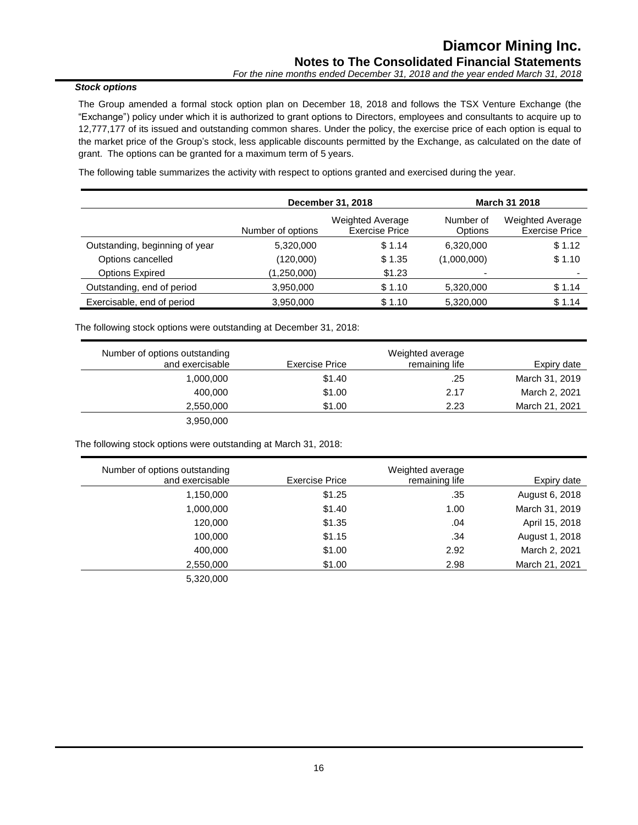## *Stock options*

The Group amended a formal stock option plan on December 18, 2018 and follows the TSX Venture Exchange (the "Exchange") policy under which it is authorized to grant options to Directors, employees and consultants to acquire up to 12,777,177 of its issued and outstanding common shares. Under the policy, the exercise price of each option is equal to the market price of the Group's stock, less applicable discounts permitted by the Exchange, as calculated on the date of grant. The options can be granted for a maximum term of 5 years.

The following table summarizes the activity with respect to options granted and exercised during the year.

|                                | December 31, 2018 |                                                  | <b>March 31 2018</b>        |                                                  |
|--------------------------------|-------------------|--------------------------------------------------|-----------------------------|--------------------------------------------------|
|                                | Number of options | <b>Weighted Average</b><br><b>Exercise Price</b> | Number of<br><b>Options</b> | <b>Weighted Average</b><br><b>Exercise Price</b> |
| Outstanding, beginning of year | 5,320,000         | \$1.14                                           | 6,320,000                   | \$1.12                                           |
| Options cancelled              | (120,000)         | \$1.35                                           | (1,000,000)                 | \$1.10                                           |
| <b>Options Expired</b>         | (1,250,000)       | \$1.23                                           |                             | -                                                |
| Outstanding, end of period     | 3,950,000         | \$1.10                                           | 5,320,000                   | \$1.14                                           |
| Exercisable, end of period     | 3,950,000         | \$1.10                                           | 5,320,000                   | \$1.14                                           |

The following stock options were outstanding at December 31, 2018:

| Number of options outstanding |                | Weighted average |                |
|-------------------------------|----------------|------------------|----------------|
| and exercisable               | Exercise Price | remaining life   | Expiry date    |
| 1,000,000                     | \$1.40         | .25              | March 31, 2019 |
| 400.000                       | \$1.00         | 2.17             | March 2, 2021  |
| 2,550,000                     | \$1.00         | 2.23             | March 21, 2021 |
| 3,950,000                     |                |                  |                |

The following stock options were outstanding at March 31, 2018:

| Number of options outstanding |                       | Weighted average |                |
|-------------------------------|-----------------------|------------------|----------------|
| and exercisable               | <b>Exercise Price</b> | remaining life   | Expiry date    |
| 1,150,000                     | \$1.25                | .35              | August 6, 2018 |
| 1,000,000                     | \$1.40                | 1.00             | March 31, 2019 |
| 120,000                       | \$1.35                | .04              | April 15, 2018 |
| 100,000                       | \$1.15                | .34              | August 1, 2018 |
| 400,000                       | \$1.00                | 2.92             | March 2, 2021  |
| 2,550,000                     | \$1.00                | 2.98             | March 21, 2021 |
| 5,320,000                     |                       |                  |                |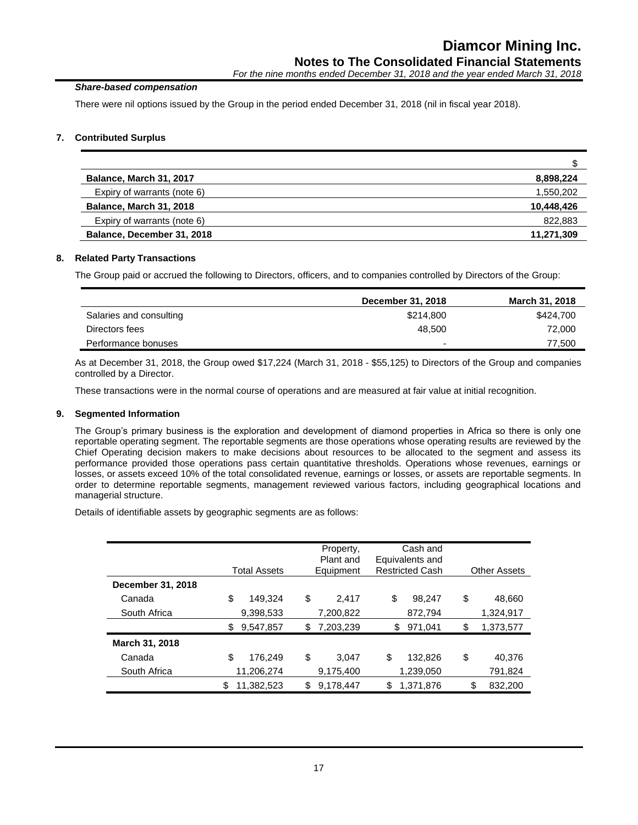## *Share-based compensation*

There were nil options issued by the Group in the period ended December 31, 2018 (nil in fiscal year 2018).

## **7. Contributed Surplus**

| Balance, March 31, 2017        | 8,898,224  |
|--------------------------------|------------|
| Expiry of warrants (note 6)    | 1,550,202  |
| <b>Balance, March 31, 2018</b> | 10,448,426 |
| Expiry of warrants (note 6)    | 822,883    |
| Balance, December 31, 2018     | 11,271,309 |

## **8. Related Party Transactions**

The Group paid or accrued the following to Directors, officers, and to companies controlled by Directors of the Group:

|                         | December 31, 2018        | March 31, 2018 |
|-------------------------|--------------------------|----------------|
| Salaries and consulting | \$214,800                | \$424,700      |
| Directors fees          | 48.500                   | 72,000         |
| Performance bonuses     | $\overline{\phantom{0}}$ | 77,500         |
|                         |                          |                |

As at December 31, 2018, the Group owed \$17,224 (March 31, 2018 - \$55,125) to Directors of the Group and companies controlled by a Director.

These transactions were in the normal course of operations and are measured at fair value at initial recognition.

## **9. Segmented Information**

The Group's primary business is the exploration and development of diamond properties in Africa so there is only one reportable operating segment. The reportable segments are those operations whose operating results are reviewed by the Chief Operating decision makers to make decisions about resources to be allocated to the segment and assess its performance provided those operations pass certain quantitative thresholds. Operations whose revenues, earnings or losses, or assets exceed 10% of the total consolidated revenue, earnings or losses, or assets are reportable segments. In order to determine reportable segments, management reviewed various factors, including geographical locations and managerial structure.

Details of identifiable assets by geographic segments are as follows:

|                   |    | <b>Total Assets</b> | Property,<br>Plant and<br>Equipment | Cash and<br>Equivalents and<br><b>Restricted Cash</b> | <b>Other Assets</b> |
|-------------------|----|---------------------|-------------------------------------|-------------------------------------------------------|---------------------|
| December 31, 2018 |    |                     |                                     |                                                       |                     |
| Canada            | \$ | 149,324             | \$<br>2.417                         | \$<br>98.247                                          | \$<br>48,660        |
| South Africa      |    | 9,398,533           | 7,200,822                           | 872,794                                               | 1,324,917           |
|                   | S  | 9,547,857           | \$<br>7,203,239                     | \$<br>971,041                                         | \$<br>1,373,577     |
| March 31, 2018    |    |                     |                                     |                                                       |                     |
| Canada            | \$ | 176.249             | \$<br>3.047                         | \$<br>132,826                                         | \$<br>40.376        |
| South Africa      |    | 11,206,274          | 9,175,400                           | 1,239,050                                             | 791,824             |
|                   | \$ | 11,382,523          | \$<br>9,178,447                     | \$<br>1,371,876                                       | \$<br>832,200       |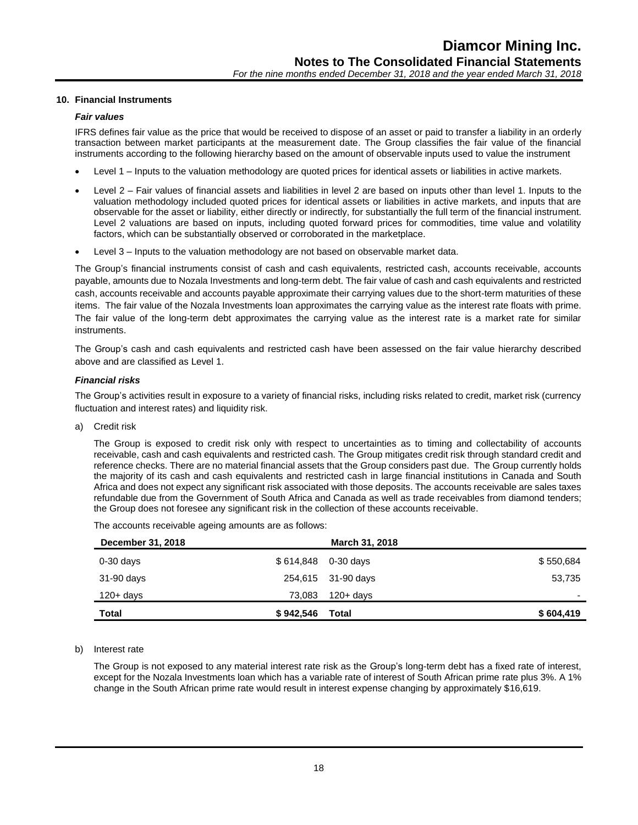## **10. Financial Instruments**

#### *Fair values*

IFRS defines fair value as the price that would be received to dispose of an asset or paid to transfer a liability in an orderly transaction between market participants at the measurement date. The Group classifies the fair value of the financial instruments according to the following hierarchy based on the amount of observable inputs used to value the instrument

- Level 1 Inputs to the valuation methodology are quoted prices for identical assets or liabilities in active markets.
- Level 2 Fair values of financial assets and liabilities in level 2 are based on inputs other than level 1. Inputs to the valuation methodology included quoted prices for identical assets or liabilities in active markets, and inputs that are observable for the asset or liability, either directly or indirectly, for substantially the full term of the financial instrument. Level 2 valuations are based on inputs, including quoted forward prices for commodities, time value and volatility factors, which can be substantially observed or corroborated in the marketplace.
- Level 3 Inputs to the valuation methodology are not based on observable market data.

The Group's financial instruments consist of cash and cash equivalents, restricted cash, accounts receivable, accounts payable, amounts due to Nozala Investments and long-term debt. The fair value of cash and cash equivalents and restricted cash, accounts receivable and accounts payable approximate their carrying values due to the short-term maturities of these items. The fair value of the Nozala Investments loan approximates the carrying value as the interest rate floats with prime. The fair value of the long-term debt approximates the carrying value as the interest rate is a market rate for similar instruments.

The Group's cash and cash equivalents and restricted cash have been assessed on the fair value hierarchy described above and are classified as Level 1.

#### *Financial risks*

The Group's activities result in exposure to a variety of financial risks, including risks related to credit, market risk (currency fluctuation and interest rates) and liquidity risk.

a) Credit risk

The Group is exposed to credit risk only with respect to uncertainties as to timing and collectability of accounts receivable, cash and cash equivalents and restricted cash. The Group mitigates credit risk through standard credit and reference checks. There are no material financial assets that the Group considers past due. The Group currently holds the majority of its cash and cash equivalents and restricted cash in large financial institutions in Canada and South Africa and does not expect any significant risk associated with those deposits. The accounts receivable are sales taxes refundable due from the Government of South Africa and Canada as well as trade receivables from diamond tenders; the Group does not foresee any significant risk in the collection of these accounts receivable.

The accounts receivable ageing amounts are as follows:

| December 31, 2018 |           | March 31, 2018      |           |
|-------------------|-----------|---------------------|-----------|
| $0-30$ days       |           | \$614,848 0-30 days | \$550,684 |
| 31-90 days        |           | 254,615 31-90 days  | 53,735    |
| $120 + days$      | 73,083    | $120 + days$        |           |
| <b>Total</b>      | \$942,546 | Total               | \$604,419 |

#### b) Interest rate

The Group is not exposed to any material interest rate risk as the Group's long-term debt has a fixed rate of interest, except for the Nozala Investments loan which has a variable rate of interest of South African prime rate plus 3%. A 1% change in the South African prime rate would result in interest expense changing by approximately \$16,619.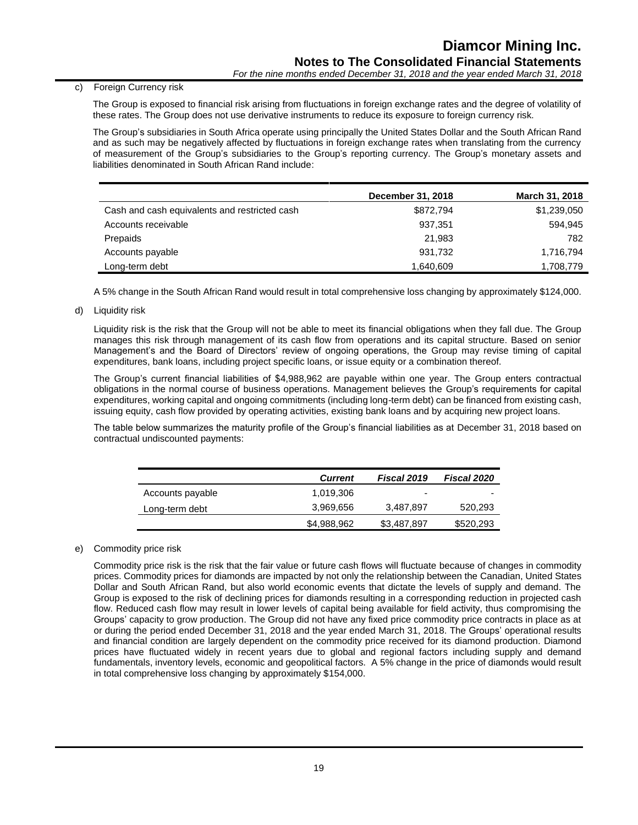## c) Foreign Currency risk

The Group is exposed to financial risk arising from fluctuations in foreign exchange rates and the degree of volatility of these rates. The Group does not use derivative instruments to reduce its exposure to foreign currency risk.

The Group's subsidiaries in South Africa operate using principally the United States Dollar and the South African Rand and as such may be negatively affected by fluctuations in foreign exchange rates when translating from the currency of measurement of the Group's subsidiaries to the Group's reporting currency. The Group's monetary assets and liabilities denominated in South African Rand include:

|                                               | December 31, 2018 | March 31, 2018 |
|-----------------------------------------------|-------------------|----------------|
| Cash and cash equivalents and restricted cash | \$872,794         | \$1,239,050    |
| Accounts receivable                           | 937,351           | 594,945        |
| Prepaids                                      | 21.983            | 782            |
| Accounts payable                              | 931,732           | 1,716,794      |
| Long-term debt                                | 1,640,609         | 1,708,779      |

A 5% change in the South African Rand would result in total comprehensive loss changing by approximately \$124,000.

d) Liquidity risk

Liquidity risk is the risk that the Group will not be able to meet its financial obligations when they fall due. The Group manages this risk through management of its cash flow from operations and its capital structure. Based on senior Management's and the Board of Directors' review of ongoing operations, the Group may revise timing of capital expenditures, bank loans, including project specific loans, or issue equity or a combination thereof.

The Group's current financial liabilities of \$4,988,962 are payable within one year. The Group enters contractual obligations in the normal course of business operations. Management believes the Group's requirements for capital expenditures, working capital and ongoing commitments (including long-term debt) can be financed from existing cash, issuing equity, cash flow provided by operating activities, existing bank loans and by acquiring new project loans.

The table below summarizes the maturity profile of the Group's financial liabilities as at December 31, 2018 based on contractual undiscounted payments:

|                  | <b>Current</b> | Fiscal 2019 | <b>Fiscal 2020</b> |
|------------------|----------------|-------------|--------------------|
| Accounts payable | 1,019,306      | ۰           |                    |
| Long-term debt   | 3,969,656      | 3,487,897   | 520,293            |
|                  | \$4,988,962    | \$3,487,897 | \$520,293          |

## e) Commodity price risk

Commodity price risk is the risk that the fair value or future cash flows will fluctuate because of changes in commodity prices. Commodity prices for diamonds are impacted by not only the relationship between the Canadian, United States Dollar and South African Rand, but also world economic events that dictate the levels of supply and demand. The Group is exposed to the risk of declining prices for diamonds resulting in a corresponding reduction in projected cash flow. Reduced cash flow may result in lower levels of capital being available for field activity, thus compromising the Groups' capacity to grow production. The Group did not have any fixed price commodity price contracts in place as at or during the period ended December 31, 2018 and the year ended March 31, 2018. The Groups' operational results and financial condition are largely dependent on the commodity price received for its diamond production. Diamond prices have fluctuated widely in recent years due to global and regional factors including supply and demand fundamentals, inventory levels, economic and geopolitical factors. A 5% change in the price of diamonds would result in total comprehensive loss changing by approximately \$154,000.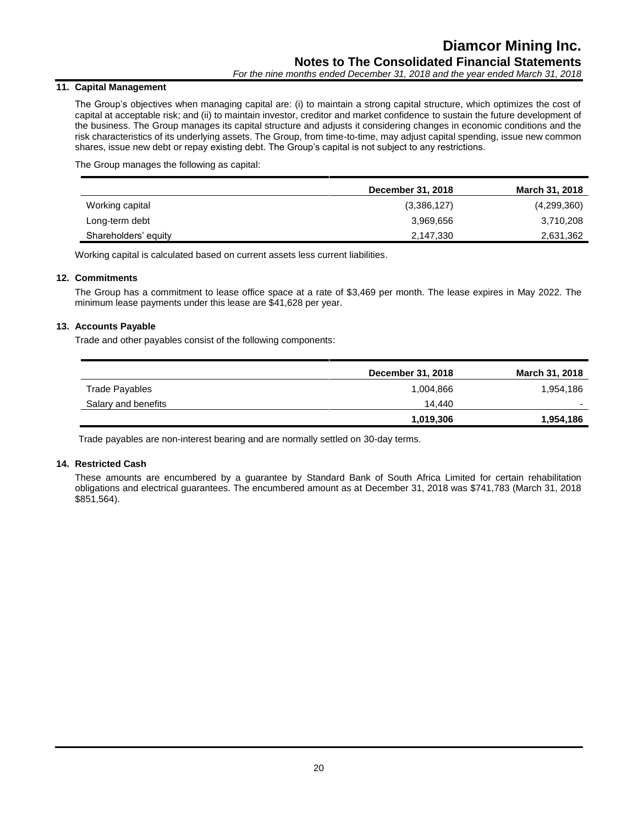## **11. Capital Management**

The Group's objectives when managing capital are: (i) to maintain a strong capital structure, which optimizes the cost of capital at acceptable risk; and (ii) to maintain investor, creditor and market confidence to sustain the future development of the business. The Group manages its capital structure and adjusts it considering changes in economic conditions and the risk characteristics of its underlying assets. The Group, from time-to-time, may adjust capital spending, issue new common shares, issue new debt or repay existing debt. The Group's capital is not subject to any restrictions.

The Group manages the following as capital:

|                      | December 31, 2018 | March 31, 2018 |
|----------------------|-------------------|----------------|
| Working capital      | (3,386,127)       | (4,299,360)    |
| Long-term debt       | 3,969,656         | 3,710,208      |
| Shareholders' equity | 2,147,330         | 2,631,362      |

Working capital is calculated based on current assets less current liabilities.

## **12. Commitments**

The Group has a commitment to lease office space at a rate of \$3,469 per month. The lease expires in May 2022. The minimum lease payments under this lease are \$41,628 per year.

## **13. Accounts Payable**

Trade and other payables consist of the following components:

|                     | December 31, 2018 | <b>March 31, 2018</b> |
|---------------------|-------------------|-----------------------|
| Trade Payables      | 1,004,866         | 1,954,186             |
| Salary and benefits | 14.440            |                       |
|                     | 1,019,306         | 1,954,186             |

Trade payables are non-interest bearing and are normally settled on 30-day terms.

## **14. Restricted Cash**

These amounts are encumbered by a guarantee by Standard Bank of South Africa Limited for certain rehabilitation obligations and electrical guarantees. The encumbered amount as at December 31, 2018 was \$741,783 (March 31, 2018 \$851,564).